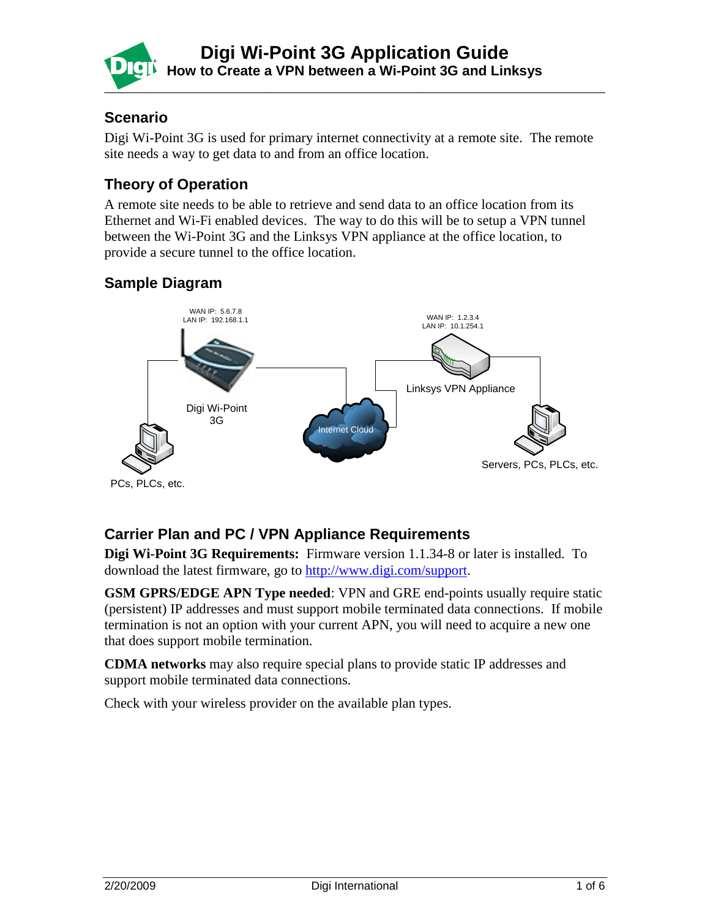

#### **Scenario**

Digi Wi-Point 3G is used for primary internet connectivity at a remote site. The remote site needs a way to get data to and from an office location.

### **Theory of Operation**

A remote site needs to be able to retrieve and send data to an office location from its Ethernet and Wi-Fi enabled devices. The way to do this will be to setup a VPN tunnel between the Wi-Point 3G and the Linksys VPN appliance at the office location, to provide a secure tunnel to the office location.

### **Sample Diagram**



## **Carrier Plan and PC / VPN Appliance Requirements**

**Digi Wi-Point 3G Requirements:** Firmware version 1.1.34-8 or later is installed. To download the latest firmware, go to [http://www.digi.com/support.](http://www.digi.com/support)

**GSM GPRS/EDGE APN Type needed**: VPN and GRE end-points usually require static (persistent) IP addresses and must support mobile terminated data connections. If mobile termination is not an option with your current APN, you will need to acquire a new one that does support mobile termination.

**CDMA networks** may also require special plans to provide static IP addresses and support mobile terminated data connections.

Check with your wireless provider on the available plan types.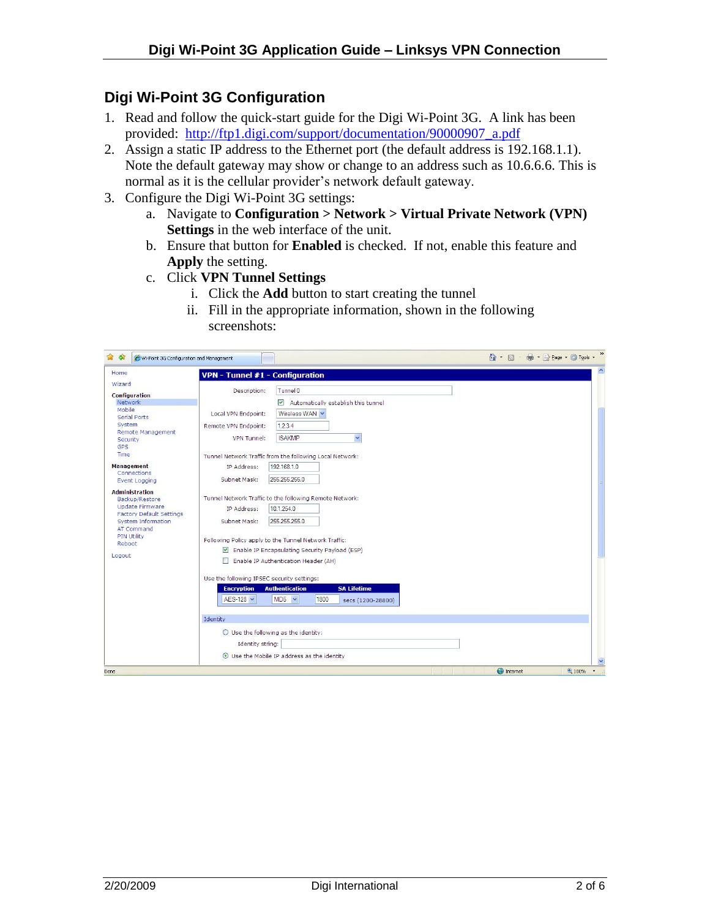# **Digi Wi-Point 3G Configuration**

- 1. Read and follow the quick-start guide for the Digi Wi-Point 3G. A link has been provided: [http://ftp1.digi.com/support/documentation/90000907\\_a.pdf](http://ftp1.digi.com/support/documentation/90000907_a.pdf)
- 2. Assign a static IP address to the Ethernet port (the default address is 192.168.1.1). Note the default gateway may show or change to an address such as 10.6.6.6. This is normal as it is the cellular provider's network default gateway.
- 3. Configure the Digi Wi-Point 3G settings:
	- a. Navigate to **Configuration > Network > Virtual Private Network (VPN) Settings** in the web interface of the unit.
	- b. Ensure that button for **Enabled** is checked. If not, enable this feature and **Apply** the setting.
	- c. Click **VPN Tunnel Settings**
		- i. Click the **Add** button to start creating the tunnel
		- ii. Fill in the appropriate information, shown in the following screenshots:

| ☆☆<br>Wi-Point 3G Configuration and Management                                                                                                                                                   |                                                                                                                                                                                                                                                                                                                                                                                                                                                           | $\gg$<br>$\bigcirc$ $\cdot$ $\bigcirc$ $\cdot$<br>● · → Page · ● Tools · |
|--------------------------------------------------------------------------------------------------------------------------------------------------------------------------------------------------|-----------------------------------------------------------------------------------------------------------------------------------------------------------------------------------------------------------------------------------------------------------------------------------------------------------------------------------------------------------------------------------------------------------------------------------------------------------|--------------------------------------------------------------------------|
| Home                                                                                                                                                                                             | VPN - Tunnel #1 - Configuration                                                                                                                                                                                                                                                                                                                                                                                                                           | $\blacktriangle$                                                         |
| Wizard<br><b>Configuration</b>                                                                                                                                                                   | Tunnel <sup>0</sup><br>Description:                                                                                                                                                                                                                                                                                                                                                                                                                       |                                                                          |
| <b>Network</b><br>Mobile<br><b>Serial Ports</b><br>System<br>Remote Management<br>Security<br><b>GPS</b><br>Time<br><b>Management</b>                                                            | $\blacktriangledown$<br>Automatically establish this tunnel<br>Local VPN Endpoint:<br>Wireless WAN V<br>1.2.3.4<br>Remote VPN Endpoint:<br>$\checkmark$<br><b>ISAKMP</b><br>VPN Tunnel:<br>Tunnel Network Traffic from the following Local Network:<br>192.168.1.0<br>IP Address:                                                                                                                                                                         |                                                                          |
| Connections<br><b>Event Logging</b>                                                                                                                                                              | 255.255.255.0<br>Subnet Mask:                                                                                                                                                                                                                                                                                                                                                                                                                             |                                                                          |
| <b>Administration</b><br>Backup/Restore<br><b>Update Firmware</b><br><b>Factory Default Settings</b><br><b>System Information</b><br><b>AT Command</b><br><b>PIN Utility</b><br>Reboot<br>Logout | Tunnel Network Traffic to the following Remote Network:<br>10.1.254.0<br>IP Address:<br>255.255.255.0<br>Subnet Mask:<br>Following Policy apply to the Tunnel Network Traffic:<br>Enable IP Encapsulating Security Payload (ESP)<br>Enable IP Authentication Header (AH)<br>Use the following IPSEC security settings:<br><b>SA Lifetime</b><br><b>Encryption</b><br><b>Authentication</b><br>AES-128 $\vee$<br>$MD5 \times$<br>1800<br>secs (1200-28800) |                                                                          |
|                                                                                                                                                                                                  | Identity<br>○ Use the following as the identity:<br>Identity string:<br>⊙ Use the Mobile IP address as the identity                                                                                                                                                                                                                                                                                                                                       | ×                                                                        |
| Done                                                                                                                                                                                             |                                                                                                                                                                                                                                                                                                                                                                                                                                                           | $4100\%$ $\sim$<br><b>O</b> Internet                                     |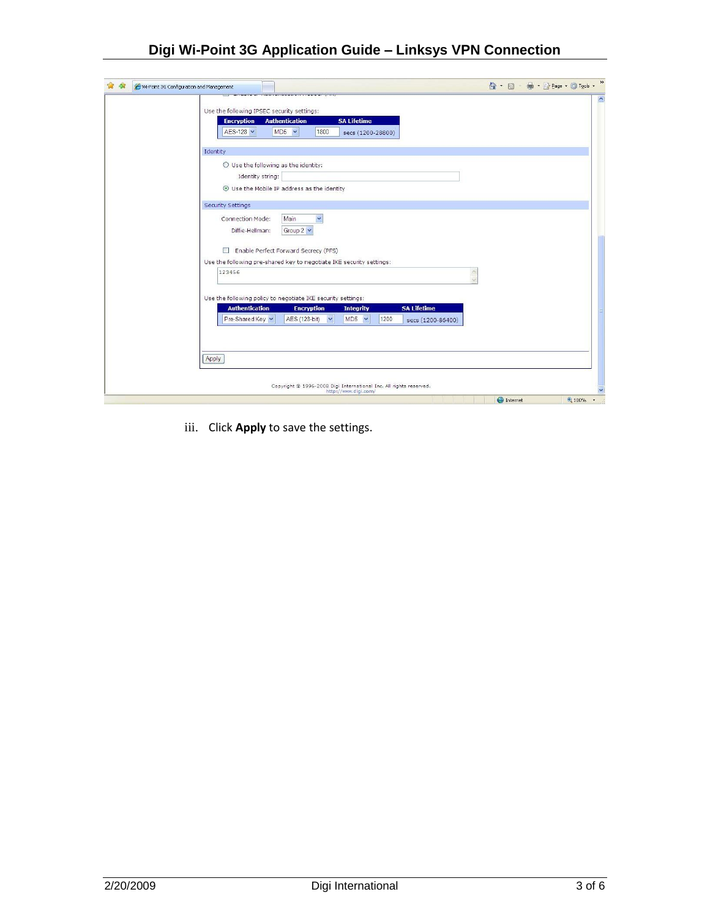# **Digi Wi-Point 3G Application Guide – Linksys VPN Connection**

| 53<br>睿<br>Wi-Point 3G Configuration and Management |                                                                                                                                                                                                          |                                                                                        |                                                                    |   | ☆ - 同 - 曲 - i→ Page - 位 Tools - | $\gg$                             |
|-----------------------------------------------------|----------------------------------------------------------------------------------------------------------------------------------------------------------------------------------------------------------|----------------------------------------------------------------------------------------|--------------------------------------------------------------------|---|---------------------------------|-----------------------------------|
|                                                     | Use the following IPSEC security settings:<br><b>Encryption</b><br><b>Authentication</b><br>AES-128 V<br>MD <sub>5</sub><br>$\checkmark$                                                                 | <b>SA Lifetime</b><br>1800                                                             | secs (1200-28800)                                                  |   |                                 | $\vert \wedge \vert$              |
|                                                     | Identity                                                                                                                                                                                                 |                                                                                        |                                                                    |   |                                 |                                   |
|                                                     | $\bigcirc$ Use the following as the identity:<br>Identity string:<br>⊙ Use the Mobile IP address as the identity                                                                                         |                                                                                        |                                                                    |   |                                 |                                   |
|                                                     | <b>Security Settings</b>                                                                                                                                                                                 |                                                                                        |                                                                    |   |                                 |                                   |
|                                                     | Connection Mode:<br>Main<br>Group $2 \vee$<br>Diffie-Hellman:<br>Enable Perfect Forward Secrecy (PFS)<br>$\mathcal{W}$<br>Use the following pre-shared key to negotiate IKE security settings:<br>123456 | $\checkmark$                                                                           |                                                                    | W |                                 |                                   |
|                                                     | Use the following policy to negotiate IKE security settings:                                                                                                                                             |                                                                                        |                                                                    |   |                                 |                                   |
|                                                     | <b>Authentication</b><br>Pre-Shared Key Y                                                                                                                                                                | <b>Encryption</b><br><b>Integrity</b><br>AES (128-bit)<br>$\checkmark$<br>$MDS \times$ | <b>SA Lifetime</b><br>1200<br>secs (1200-86400)                    |   |                                 |                                   |
|                                                     | Apply                                                                                                                                                                                                    |                                                                                        |                                                                    |   |                                 |                                   |
|                                                     |                                                                                                                                                                                                          | http://www.digi.com/                                                                   | Copyright @ 1996-2008 Digi International Inc. All rights reserved. |   |                                 |                                   |
|                                                     |                                                                                                                                                                                                          |                                                                                        |                                                                    |   | nternet                         | 4100%<br>$\overline{\phantom{a}}$ |

iii. Click **Apply** to save the settings.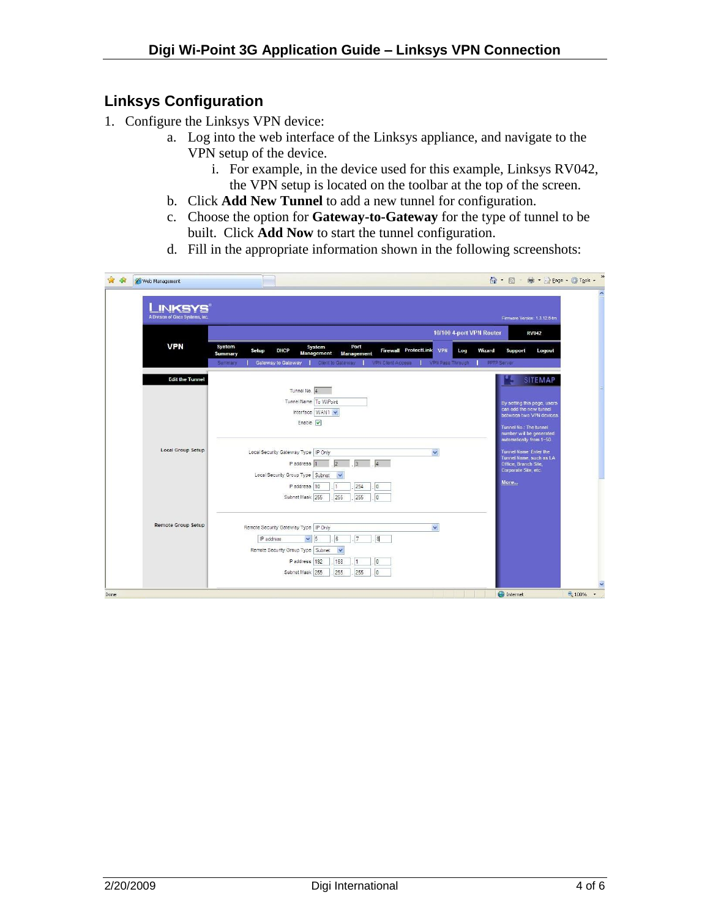### **Linksys Configuration**

- 1. Configure the Linksys VPN device:
	- a. Log into the web interface of the Linksys appliance, and navigate to the VPN setup of the device.
		- i. For example, in the device used for this example, Linksys RV042, the VPN setup is located on the toolbar at the top of the screen.
	- b. Click **Add New Tunnel** to add a new tunnel for configuration.
	- c. Choose the option for **Gateway-to-Gateway** for the type of tunnel to be built. Click **Add Now** to start the tunnel configuration.
	- d. Fill in the appropriate information shown in the following screenshots:

| <b>INKSYS®</b><br>A Division of Cisco Systems, Inc. |                                                                                          |                                                  |                    |                          |                                              |                          |                                              | Firmware Version: 1.3.12.6-tm                                                                                 |
|-----------------------------------------------------|------------------------------------------------------------------------------------------|--------------------------------------------------|--------------------|--------------------------|----------------------------------------------|--------------------------|----------------------------------------------|---------------------------------------------------------------------------------------------------------------|
|                                                     |                                                                                          |                                                  |                    |                          |                                              | 10/100 4-port VPN Router |                                              | <b>RV042</b>                                                                                                  |
| <b>VPN</b>                                          | <b>System</b><br><b>DHCP</b><br>Setup<br>Summary<br><b>Gateway to Gateway</b><br>Summary | System<br><b>Management</b><br>Client to Gateway | Port<br>Management | <b>VPN Client Access</b> | Firewall ProtectLink VPN<br>VPN Pass Through | Log                      | Wizard<br>Support<br><b>PPTP Server</b>      | Logout                                                                                                        |
| <b>Edit the Tunnel</b>                              |                                                                                          |                                                  |                    |                          |                                              |                          |                                              | <b>SITEMAP</b>                                                                                                |
|                                                     | Tunnel No. 4<br>Tunnel Name To WiPoint<br>Enable $ v $                                   | Interface WAN1                                   |                    |                          |                                              |                          | Tunnel No.: The tunnel                       | By setting this page, users<br>can add the new tunnel<br>between two VPN devices.<br>number will be generated |
| <b>Local Group Setup</b>                            | Local Security Gateway Type   IP Only                                                    |                                                  |                    |                          | $\checkmark$                                 |                          |                                              | automatically from 1~50.<br><b>Tunnel Name: Enter the</b>                                                     |
|                                                     | Paddress <sub>1</sub>                                                                    | 2                                                | $\sqrt{3}$         | $\overline{4}$           |                                              |                          | Office, Branch Site,<br>Corporate Site, etc. | Tunnel Name, such as LA                                                                                       |
|                                                     | Local Security Group Type   Subnet<br>IP address 10                                      | $\checkmark$<br>1                                | 254                | 0                        |                                              |                          | More                                         |                                                                                                               |
|                                                     | Subnet Mask 255                                                                          | 255                                              | 255                | 0                        |                                              |                          |                                              |                                                                                                               |
| <b>Remote Group Setup</b>                           | Remote Security Gateway Type   IP Only                                                   |                                                  |                    |                          | $\checkmark$                                 |                          |                                              |                                                                                                               |
|                                                     | $\vee$ 5<br>IP address                                                                   | G                                                | 17                 | <sup>8</sup>             |                                              |                          |                                              |                                                                                                               |
|                                                     | Remote Security Group Type Subnet                                                        | $\checkmark$                                     |                    |                          |                                              |                          |                                              |                                                                                                               |
|                                                     | IP address 192                                                                           | 168                                              | $\overline{1}$     | Io.                      |                                              |                          |                                              |                                                                                                               |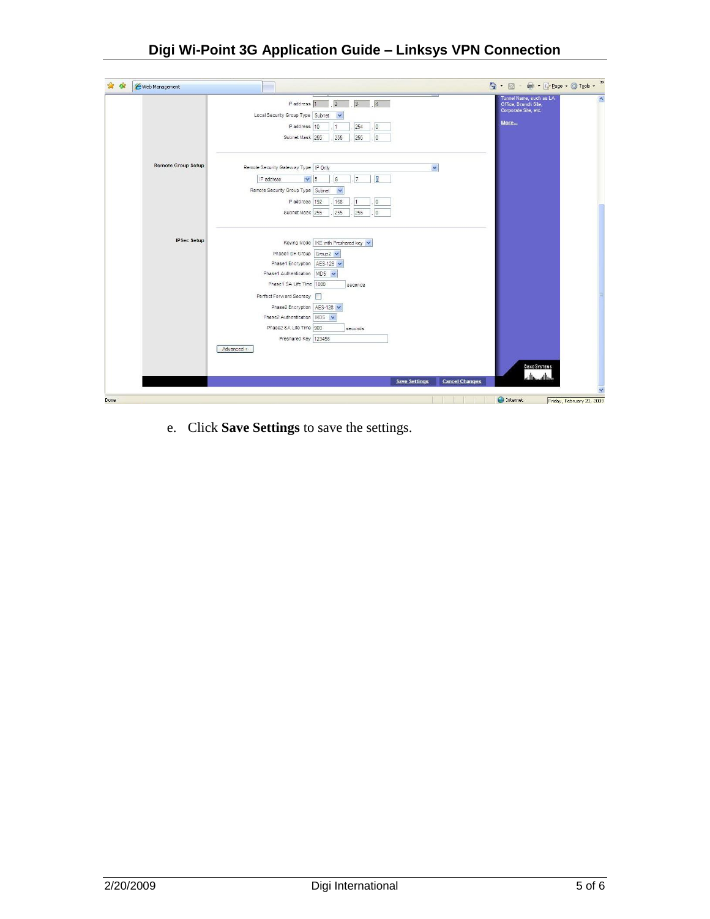| More<br>IP address 10<br>$ 0\rangle$<br>254<br>$\mathbb O$<br>Subnet Mask 255<br>255<br>255<br><b>Remote Group Setup</b><br>Remote Security Gateway Type   IP Only<br>$\checkmark$<br> 7 <br>6<br>8<br>IP address<br>$\checkmark$<br>5<br>Remote Security Group Type   Subnet<br>$\checkmark$<br>IP address 192<br>0<br>168<br>1<br>Subnet Mask 255<br>255<br>255<br>0<br><b>IPSec Setup</b><br>Keying Mode   IKE with Preshared key V<br>Phase1 DH Group Group2 V<br>Phase1 Encryption   AES-128 V<br>Phase1 Authentication   MD5 V<br>Phase1 SA Life Time 1800<br>seconds<br>Perfect Forward Secrecy<br>Phase2 Encryption   AES-128<br>Phase2 Authentication MD5 V<br>Phase2 SA Life Time 900<br>seconds<br>Preshared Key 123456<br>Advanced +<br><b>CISCO SYSTEMS</b><br>أستللتسبينالتينا | P address 1<br> 2 <br>$\sqrt{3}$<br> 4 <br>Local Security Group Type   Subnet<br>v | Tunnel Name, such as LA<br>×<br>Office, Branch Site,<br>Corporate Site, etc. |
|----------------------------------------------------------------------------------------------------------------------------------------------------------------------------------------------------------------------------------------------------------------------------------------------------------------------------------------------------------------------------------------------------------------------------------------------------------------------------------------------------------------------------------------------------------------------------------------------------------------------------------------------------------------------------------------------------------------------------------------------------------------------------------------------|------------------------------------------------------------------------------------|------------------------------------------------------------------------------|
|                                                                                                                                                                                                                                                                                                                                                                                                                                                                                                                                                                                                                                                                                                                                                                                              |                                                                                    |                                                                              |
|                                                                                                                                                                                                                                                                                                                                                                                                                                                                                                                                                                                                                                                                                                                                                                                              |                                                                                    |                                                                              |
|                                                                                                                                                                                                                                                                                                                                                                                                                                                                                                                                                                                                                                                                                                                                                                                              |                                                                                    |                                                                              |
|                                                                                                                                                                                                                                                                                                                                                                                                                                                                                                                                                                                                                                                                                                                                                                                              |                                                                                    |                                                                              |
|                                                                                                                                                                                                                                                                                                                                                                                                                                                                                                                                                                                                                                                                                                                                                                                              |                                                                                    |                                                                              |
|                                                                                                                                                                                                                                                                                                                                                                                                                                                                                                                                                                                                                                                                                                                                                                                              |                                                                                    |                                                                              |
|                                                                                                                                                                                                                                                                                                                                                                                                                                                                                                                                                                                                                                                                                                                                                                                              |                                                                                    |                                                                              |
|                                                                                                                                                                                                                                                                                                                                                                                                                                                                                                                                                                                                                                                                                                                                                                                              |                                                                                    |                                                                              |
|                                                                                                                                                                                                                                                                                                                                                                                                                                                                                                                                                                                                                                                                                                                                                                                              |                                                                                    |                                                                              |
|                                                                                                                                                                                                                                                                                                                                                                                                                                                                                                                                                                                                                                                                                                                                                                                              |                                                                                    |                                                                              |
|                                                                                                                                                                                                                                                                                                                                                                                                                                                                                                                                                                                                                                                                                                                                                                                              | <b>Save Settings</b>                                                               | <b>Cancel Changes</b><br>$\checkmark$                                        |

e. Click **Save Settings** to save the settings.